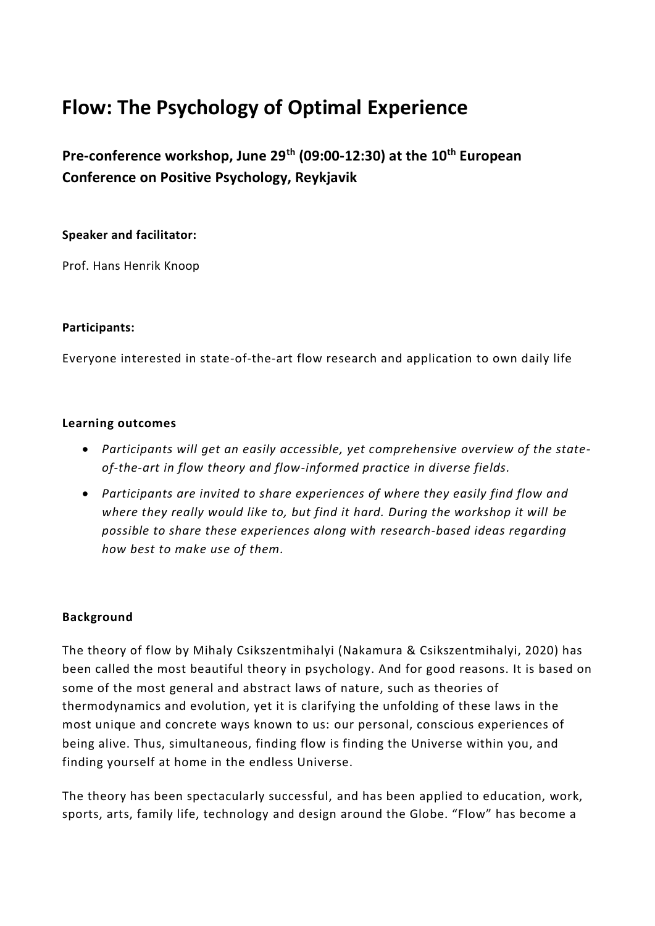# **Flow: The Psychology of Optimal Experience**

**Pre-conference workshop, June 29th (09:00-12:30) at the 10th European Conference on Positive Psychology, Reykjavik**

## **Speaker and facilitator:**

Prof. Hans Henrik Knoop

#### **Participants:**

Everyone interested in state-of-the-art flow research and application to own daily life

#### **Learning outcomes**

- *Participants will get an easily accessible, yet comprehensive overview of the stateof-the-art in flow theory and flow-informed practice in diverse fields.*
- *Participants are invited to share experiences of where they easily find flow and where they really would like to, but find it hard. During the workshop it will be possible to share these experiences along with research-based ideas regarding how best to make use of them.*

## **Background**

The theory of flow by Mihaly Csikszentmihalyi (Nakamura & Csikszentmihalyi, 2020) has been called the most beautiful theory in psychology. And for good reasons. It is based on some of the most general and abstract laws of nature, such as theories of thermodynamics and evolution, yet it is clarifying the unfolding of these laws in the most unique and concrete ways known to us: our personal, conscious experiences of being alive. Thus, simultaneous, finding flow is finding the Universe within you, and finding yourself at home in the endless Universe.

The theory has been spectacularly successful, and has been applied to education, work, sports, arts, family life, technology and design around the Globe. "Flow" has become a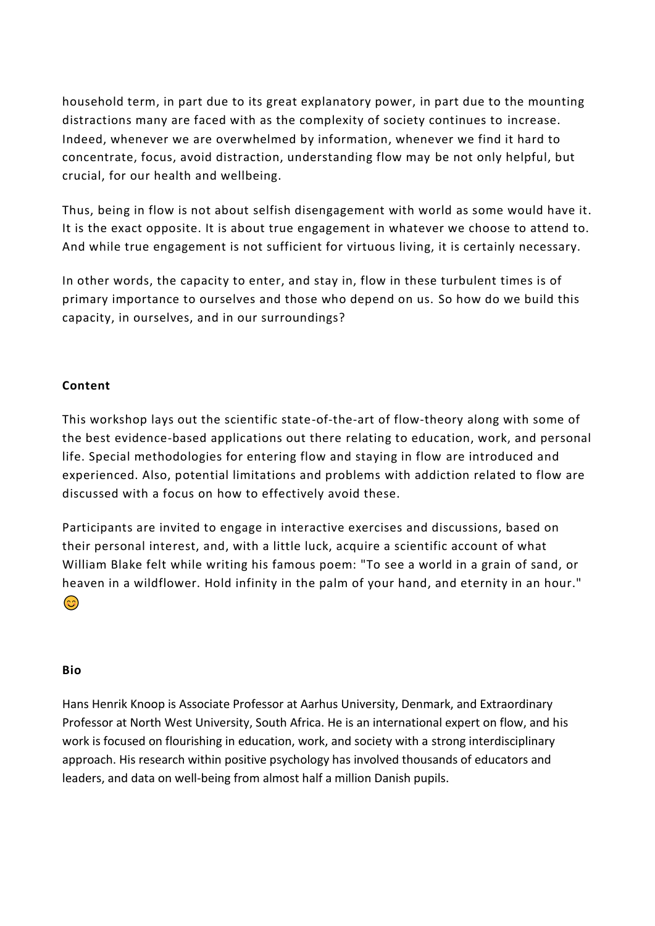household term, in part due to its great explanatory power, in part due to the mounting distractions many are faced with as the complexity of society continues to increase. Indeed, whenever we are overwhelmed by information, whenever we find it hard to concentrate, focus, avoid distraction, understanding flow may be not only helpful, but crucial, for our health and wellbeing.

Thus, being in flow is not about selfish disengagement with world as some would have it. It is the exact opposite. It is about true engagement in whatever we choose to attend to. And while true engagement is not sufficient for virtuous living, it is certainly necessary.

In other words, the capacity to enter, and stay in, flow in these turbulent times is of primary importance to ourselves and those who depend on us. So how do we build this capacity, in ourselves, and in our surroundings?

# **Content**

This workshop lays out the scientific state-of-the-art of flow-theory along with some of the best evidence-based applications out there relating to education, work, and personal life. Special methodologies for entering flow and staying in flow are introduced and experienced. Also, potential limitations and problems with addiction related to flow are discussed with a focus on how to effectively avoid these.

Participants are invited to engage in interactive exercises and discussions, based on their personal interest, and, with a little luck, acquire a scientific account of what William Blake felt while writing his famous poem: "To see a world in a grain of sand, or heaven in a wildflower. Hold infinity in the palm of your hand, and eternity in an hour."  $\odot$ 

#### **Bio**

Hans Henrik Knoop is Associate Professor at Aarhus University, Denmark, and Extraordinary Professor at North West University, South Africa. He is an international expert on flow, and his work is focused on flourishing in education, work, and society with a strong interdisciplinary approach. His research within positive psychology has involved thousands of educators and leaders, and data on well-being from almost half a million Danish pupils.